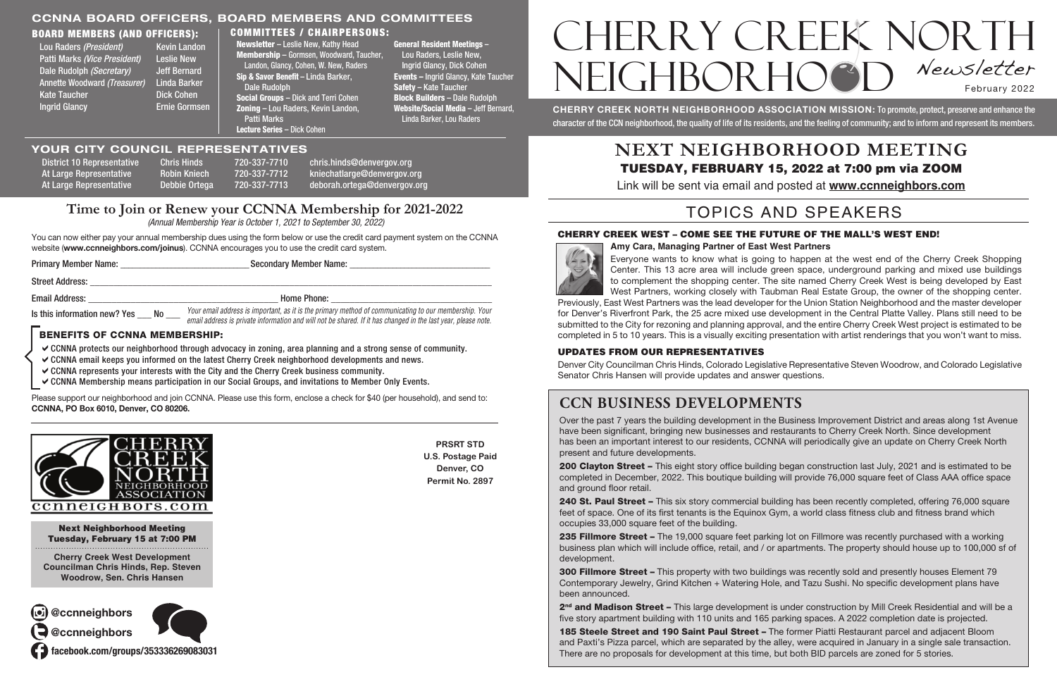#### Board Members (and Officers):

| Lou Raders (President)       | <b>Kevin Landon</b>  |
|------------------------------|----------------------|
| Patti Marks (Vice President) | <b>Leslie New</b>    |
| Dale Rudolph (Secretary)     | <b>Jeff Bernard</b>  |
| Annette Woodward (Treasurer) | <b>Linda Barker</b>  |
| <b>Kate Taucher</b>          | <b>Dick Cohen</b>    |
| <b>Ingrid Glancy</b>         | <b>Ernie Gormsen</b> |
|                              |                      |

CHERRY CREEK NORTH NEIGHBORHOOD ASSOCIATION MISSION: To promote, protect, preserve and enhance the character of the CCN neighborhood, the quality of life of its residents, and the feeling of community; and to inform and represent its members.

# CHERRY CREEK NORTH NEIGHBOR HOOD Newsletter February 2022

**PRSRT STD U.S. Postage Paid Denver, CO Permit No. 2897**

At Large Representative and Robin Kniech 720-337-7712 kniechatlarge@denvergov.org At Large Representative Debbie Ortega 720-337-7713 deborah.ortega@denvergov.org

Next Neighborhood Meeting Tuesday, February 15 at 7:00 PM

**Cherry Creek West Development Councilman Chris Hinds, Rep. Steven Woodrow, Sen. Chris Hansen**

District 10 Representative Chris Hinds 720-337-7710 chris.hinds@denvergov.org

- $\vee$  CCNNA protects our neighborhood through advocacy in zoning, area planning and a strong sense of community.
- $\checkmark$  CCNNA email keeps you informed on the latest Cherry Creek neighborhood developments and news.
- $\vee$  CCNNA represents your interests with the City and the Cherry Creek business community.
- aCCNNA Membership means participation in our Social Groups, and invitations to Member Only Events.

#### **Time to Join or Renew your CCNNA Membership for 2021-2022**

 *(Annual Membership Year is October 1, 2021 to September 30, 2022)*

You can now either pay your annual membership dues using the form below or use the credit card payment system on the CCNNA website (www.ccnneighbors.com/joinus). CCNNA encourages you to use the credit card system.

#### CCNNA BOARD OFFICERS, BOARD MEMBERS and COMMITTEES Committees / Chairpersons:

#### Benefits of CCNNA Membership:

| <b>Primary Member Name:</b>  | <b>Secondary Member Name:</b> |                                                                                                                                                                                                                        |  |
|------------------------------|-------------------------------|------------------------------------------------------------------------------------------------------------------------------------------------------------------------------------------------------------------------|--|
| <b>Street Address:</b>       |                               |                                                                                                                                                                                                                        |  |
| Email Address:               |                               | <b>Home Phone:</b>                                                                                                                                                                                                     |  |
| Is this information new? Yes | <b>No</b>                     | Your email address is important, as it is the primary method of communicating to our membership. Your<br>email address is private information and will not be shared. If it has changed in the last year, please note. |  |

Please support our neighborhood and join CCNNA. Please use this form, enclose a check for \$40 (per household), and send to: CCNNA, PO Box 6010, Denver, CO 80206.



- 200 Clayton Street This eight story office building began construction last July, 2021 and is estimated to be completed in December, 2022. This boutique building will provide 76,000 square feet of Class AAA office space
- 240 St. Paul Street This six story commercial building has been recently completed, offering 76,000 square feet of space. One of its first tenants is the Equinox Gym, a world class fitness club and fitness brand which
- 235 Fillmore Street The 19,000 square feet parking lot on Fillmore was recently purchased with a working business plan which will include office, retail, and / or apartments. The property should house up to 100,000 sf of
- 300 Fillmore Street This property with two buildings was recently sold and presently houses Element 79 Contemporary Jewelry, Grind Kitchen + Watering Hole, and Tazu Sushi. No specific development plans have
- 2<sup>nd</sup> and Madison Street This large development is under construction by Mill Creek Residential and will be a
- 185 Steele Street and 190 Saint Paul Street The former Piatti Restaurant parcel and adjacent Bloom and Paxti's Pizza parcel, which are separated by the alley, were acquired in January in a single sale transaction.

#### **NEXT NEIGHBORHOOD MEETING** TUESDAY, FEBRUARY 15, 2022 at 7:00 pm via ZOOM Link will be sent via email and posted at **www.ccnneighbors.com**

Newsletter – Leslie New, Kathy Head Membership – Gormsen, Woodward, Taucher, Landon, Glancy, Cohen, W. New, Raders Sip & Savor Benefit – Linda Barker, Dale Rudolph Social Groups – Dick and Terri Cohen Zoning – Lou Raders, Kevin Landon, Patti Marks

Lecture Series – Dick Cohen

General Resident Meetings – Lou Raders, Leslie New, Ingrid Glancy, Dick Cohen Events – Ingrid Glancy, Kate Taucher Safety – Kate Taucher Block Builders – Dale Rudolph Website/Social Media – Jeff Bernard, Linda Barker, Lou Raders

#### YOUR CITY COUNCIL REPRESENTATIVES

@ccnneighbors



facebook.com/groups/353336269083031

@ccnneighbors

### **CCN Business Developments**

Over the past 7 years the building development in the Business Improvement District and areas along 1st Avenue have been significant, bringing new businesses and restaurants to Cherry Creek North. Since development has been an important interest to our residents, CCNNA will periodically give an update on Cherry Creek North present and future developments.

and ground floor retail.

occupies 33,000 square feet of the building.

development.

been announced.

five story apartment building with 110 units and 165 parking spaces. A 2022 completion date is projected.

There are no proposals for development at this time, but both BID parcels are zoned for 5 stories.

#### CHERRY CREEK WEST – COME SEE THE FUTURE OF THE MALL'S WEST END!



**Amy Cara, Managing Partner of East West Partners** 

Everyone wants to know what is going to happen at the west end of the Cherry Creek Shopping Center. This 13 acre area will include green space, underground parking and mixed use buildings to complement the shopping center. The site named Cherry Creek West is being developed by East West Partners, working closely with Taubman Real Estate Group, the owner of the shopping center. Previously, East West Partners was the lead developer for the Union Station Neighborhood and the master developer for Denver's Riverfront Park, the 25 acre mixed use development in the Central Platte Valley. Plans still need to be submitted to the City for rezoning and planning approval, and the entire Cherry Creek West project is estimated to be completed in 5 to 10 years. This is a visually exciting presentation with artist renderings that you won't want to miss.

#### Updates From Our Representatives

Denver City Councilman Chris Hinds, Colorado Legislative Representative Steven Woodrow, and Colorado Legislative Senator Chris Hansen will provide updates and answer questions.

# TOPICS AND SPEAKERS